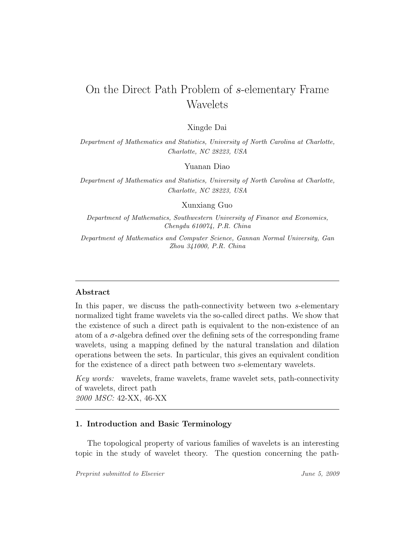# On the Direct Path Problem of s-elementary Frame Wavelets

# Xingde Dai

Department of Mathematics and Statistics, University of North Carolina at Charlotte, Charlotte, NC 28223, USA

Yuanan Diao

Department of Mathematics and Statistics, University of North Carolina at Charlotte, Charlotte, NC 28223, USA

Xunxiang Guo

Department of Mathematics, Southwestern University of Finance and Economics, Chengdu 610074, P.R. China

Department of Mathematics and Computer Science, Gannan Normal University, Gan Zhou 341000, P.R. China

# Abstract

In this paper, we discuss the path-connectivity between two s-elementary normalized tight frame wavelets via the so-called direct paths. We show that the existence of such a direct path is equivalent to the non-existence of an atom of a  $\sigma$ -algebra defined over the defining sets of the corresponding frame wavelets, using a mapping defined by the natural translation and dilation operations between the sets. In particular, this gives an equivalent condition for the existence of a direct path between two s-elementary wavelets.

Key words: wavelets, frame wavelets, frame wavelet sets, path-connectivity of wavelets, direct path 2000 MSC: 42-XX, 46-XX

## 1. Introduction and Basic Terminology

The topological property of various families of wavelets is an interesting topic in the study of wavelet theory. The question concerning the path-

Preprint submitted to Elsevier Tune 5, 2009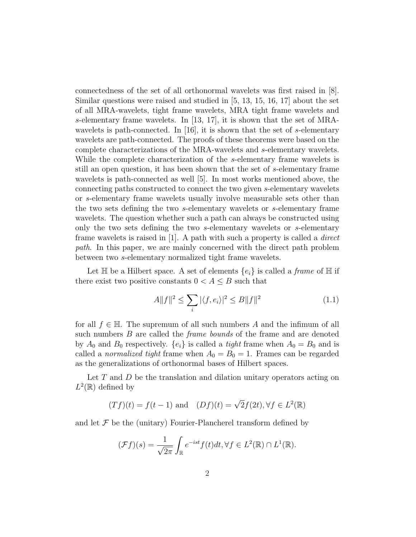connectedness of the set of all orthonormal wavelets was first raised in [8]. Similar questions were raised and studied in [5, 13, 15, 16, 17] about the set of all MRA-wavelets, tight frame wavelets, MRA tight frame wavelets and s-elementary frame wavelets. In [13, 17], it is shown that the set of MRAwavelets is path-connected. In [16], it is shown that the set of s-elementary wavelets are path-connected. The proofs of these theorems were based on the complete characterizations of the MRA-wavelets and s-elementary wavelets. While the complete characterization of the s-elementary frame wavelets is still an open question, it has been shown that the set of s-elementary frame wavelets is path-connected as well [5]. In most works mentioned above, the connecting paths constructed to connect the two given s-elementary wavelets or s-elementary frame wavelets usually involve measurable sets other than the two sets defining the two s-elementary wavelets or s-elementary frame wavelets. The question whether such a path can always be constructed using only the two sets defining the two s-elementary wavelets or s-elementary frame wavelets is raised in  $[1]$ . A path with such a property is called a *direct* path. In this paper, we are mainly concerned with the direct path problem between two s-elementary normalized tight frame wavelets.

Let  $\mathbb H$  be a Hilbert space. A set of elements  $\{e_i\}$  is called a *frame* of  $\mathbb H$  if there exist two positive constants  $0 < A \leq B$  such that

$$
A||f||^2 \le \sum_i |\langle f, e_i \rangle|^2 \le B||f||^2 \tag{1.1}
$$

for all  $f \in \mathbb{H}$ . The supremum of all such numbers A and the infimum of all such numbers B are called the *frame bounds* of the frame and are denoted by  $A_0$  and  $B_0$  respectively.  $\{e_i\}$  is called a *tight* frame when  $A_0 = B_0$  and is called a *normalized tight* frame when  $A_0 = B_0 = 1$ . Frames can be regarded as the generalizations of orthonormal bases of Hilbert spaces.

Let  $T$  and  $D$  be the translation and dilation unitary operators acting on  $L^2(\mathbb{R})$  defined by

$$
(Tf)(t) = f(t-1) \text{ and } (Df)(t) = \sqrt{2}f(2t), \forall f \in L^{2}(\mathbb{R})
$$

and let  $\mathcal F$  be the (unitary) Fourier-Plancherel transform defined by

$$
(\mathcal{F}f)(s) = \frac{1}{\sqrt{2\pi}} \int_{\mathbb{R}} e^{-ist} f(t) dt, \forall f \in L^{2}(\mathbb{R}) \cap L^{1}(\mathbb{R}).
$$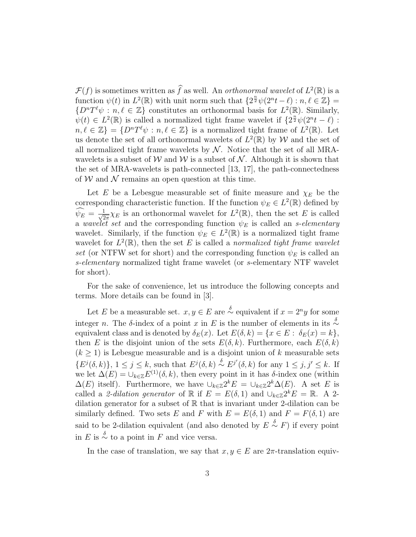$\mathcal{F}(f)$  is sometimes written as  $\widehat{f}$  as well. An *orthonormal wavelet* of  $L^2(\mathbb{R})$  is a function  $\psi(t)$  in  $L^2(\mathbb{R})$  with unit norm such that  $\{2^{\frac{n}{2}}\psi(2^n t - \ell) : n, \ell \in \mathbb{Z}\} =$  $\{D^nT^{\ell}\psi : n, \ell \in \mathbb{Z}\}\$ constitutes an orthonormal basis for  $L^2(\mathbb{R})$ . Similarly,  $\psi(t) \in L^2(\mathbb{R})$  is called a normalized tight frame wavelet if  $\{2^{\frac{n}{2}}\psi(2^n t - \ell)$ .  $n, \ell \in \mathbb{Z}$  =  $\{D^nT^{\ell}\psi : n, \ell \in \mathbb{Z}\}\$ is a normalized tight frame of  $L^2(\mathbb{R})$ . Let us denote the set of all orthonormal wavelets of  $L^2(\mathbb{R})$  by W and the set of all normalized tight frame wavelets by  $\mathcal N$ . Notice that the set of all MRAwavelets is a subset of W and W is a subset of N. Although it is shown that the set of MRA-wavelets is path-connected [13, 17], the path-connectedness of  $W$  and  $\mathcal N$  remains an open question at this time.

Let E be a Lebesgue measurable set of finite measure and  $\chi_E$  be the corresponding characteristic function. If the function  $\psi_E \in L^2(\mathbb{R})$  defined by  $\widehat{\psi_E} = \frac{1}{\sqrt{2}}$  $\frac{1}{2\pi}\chi_E$  is an orthonormal wavelet for  $L^2(\mathbb{R})$ , then the set E is called a wavelet set and the corresponding function  $\psi_E$  is called an s-elementary wavelet. Similarly, if the function  $\psi_E \in L^2(\mathbb{R})$  is a normalized tight frame wavelet for  $L^2(\mathbb{R})$ , then the set E is called a normalized tight frame wavelet set (or NTFW set for short) and the corresponding function  $\psi_E$  is called an s-elementary normalized tight frame wavelet (or s-elementary NTF wavelet for short).

For the sake of convenience, let us introduce the following concepts and terms. More details can be found in [3].

Let E be a measurable set.  $x, y \in E$  are  $\stackrel{\delta}{\sim}$  equivalent if  $x = 2^n y$  for some integer n. The δ-index of a point x in E is the number of elements in its  $\stackrel{\delta}{\sim}$ equivalent class and is denoted by  $\delta_E(x)$ . Let  $E(\delta, k) = \{x \in E : \delta_E(x) = k\},$ then E is the disjoint union of the sets  $E(\delta, k)$ . Furthermore, each  $E(\delta, k)$  $(k \geq 1)$  is Lebesgue measurable and is a disjoint union of k measurable sets  $\{E^j(\delta,k)\}\,$ ,  $1 \leq j \leq k$ , such that  $E^j(\delta,k) \stackrel{\delta}{\sim} E^{j'}(\delta,k)$  for any  $1 \leq j, j' \leq k$ . If we let  $\Delta(E) = \bigcup_{k \in \mathbb{Z}} E^{(1)}(\delta, k)$ , then every point in it has  $\delta$ -index one (within  $\Delta(E)$  itself). Furthermore, we have  $\cup_{k\in\mathbb{Z}} 2^k E = \cup_{k\in\mathbb{Z}} 2^k \Delta(E)$ . A set E is called a 2-dilation generator of R if  $E = E(\delta, 1)$  and  $\cup_{k \in \mathbb{Z}} 2^k E = \mathbb{R}$ . A 2dilation generator for a subset of  $\mathbb R$  that is invariant under 2-dilation can be similarly defined. Two sets E and F with  $E = E(\delta, 1)$  and  $F = F(\delta, 1)$  are said to be 2-dilation equivalent (and also denoted by  $E \overset{\delta}{\sim} F$ ) if every point in E is  $\stackrel{\delta}{\sim}$  to a point in F and vice versa.

In the case of translation, we say that  $x, y \in E$  are  $2\pi$ -translation equiv-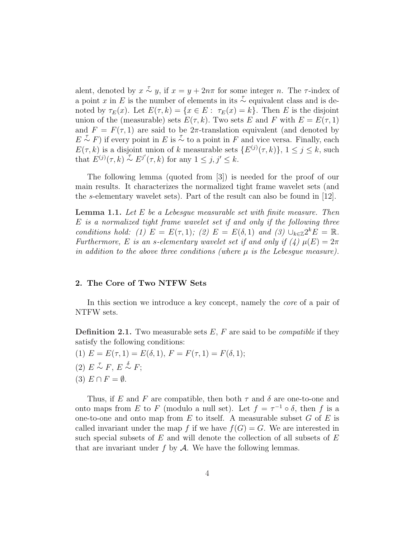alent, denoted by  $x \stackrel{\tau}{\sim} y$ , if  $x = y + 2n\pi$  for some integer n. The  $\tau$ -index of a point x in E is the number of elements in its  $\sim$  equivalent class and is denoted by  $\tau_E(x)$ . Let  $E(\tau, k) = \{x \in E : \tau_E(x) = k\}$ . Then E is the disjoint union of the (measurable) sets  $E(\tau, k)$ . Two sets E and F with  $E = E(\tau, 1)$ and  $F = F(\tau, 1)$  are said to be 2 $\pi$ -translation equivalent (and denoted by  $E \sim F$ ) if every point in E is  $\sim$  to a point in F and vice versa. Finally, each  $E(\tau, k)$  is a disjoint union of k measurable sets  $\{E^{(j)}(\tau, k)\}, 1 \leq j \leq k$ , such that  $E^{(j)}(\tau, k) \overset{\tau}{\sim} E^{j'}(\tau, k)$  for any  $1 \leq j, j' \leq k$ .

The following lemma (quoted from [3]) is needed for the proof of our main results. It characterizes the normalized tight frame wavelet sets (and the s-elementary wavelet sets). Part of the result can also be found in [12].

**Lemma 1.1.** Let  $E$  be a Lebesgue measurable set with finite measure. Then E is a normalized tight frame wavelet set if and only if the following three conditions hold: (1)  $E = E(\tau, 1)$ ; (2)  $E = E(\delta, 1)$  and (3)  $\cup_{k \in \mathbb{Z}} 2^k E = \mathbb{R}$ . Furthermore, E is an s-elementary wavelet set if and only if (4)  $\mu(E) = 2\pi$ in addition to the above three conditions (where  $\mu$  is the Lebesque measure).

## 2. The Core of Two NTFW Sets

In this section we introduce a key concept, namely the *core* of a pair of NTFW sets.

**Definition 2.1.** Two measurable sets  $E$ ,  $F$  are said to be *compatible* if they satisfy the following conditions:

- (1)  $E = E(\tau, 1) = E(\delta, 1), F = F(\tau, 1) = F(\delta, 1);$
- (2)  $E \sim F$ ,  $E \sim F$ ;
- $(3) E \cap F = \emptyset.$

Thus, if E and F are compatible, then both  $\tau$  and  $\delta$  are one-to-one and onto maps from E to F (modulo a null set). Let  $f = \tau^{-1} \circ \delta$ , then f is a one-to-one and onto map from  $E$  to itself. A measurable subset  $G$  of  $E$  is called invariant under the map f if we have  $f(G) = G$ . We are interested in such special subsets of  $E$  and will denote the collection of all subsets of  $E$ that are invariant under  $f$  by  $\mathcal A$ . We have the following lemmas.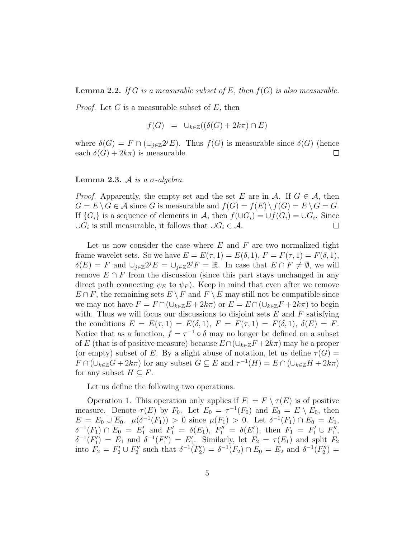**Lemma 2.2.** If G is a measurable subset of E, then  $f(G)$  is also measurable.

*Proof.* Let G is a measurable subset of E, then

$$
f(G) = \cup_{k \in \mathbb{Z}} ((\delta(G) + 2k\pi) \cap E)
$$

where  $\delta(G) = F \cap (\cup_{j \in \mathbb{Z}} 2^{j}E)$ . Thus  $f(G)$  is measurable since  $\delta(G)$  (hence each  $\delta(G) + 2k\pi$  is measurable.  $\Box$ 

Lemma 2.3. A is a  $\sigma$ -algebra.

*Proof.* Apparently, the empty set and the set E are in A. If  $G \in \mathcal{A}$ , then  $\overline{G} = E \setminus G \in \mathcal{A}$  since  $\overline{G}$  is measurable and  $f(\overline{G}) = f(E) \setminus f(G) = E \setminus G = \overline{G}$ . If  $\{G_i\}$  is a sequence of elements in A, then  $f(\cup G_i) = \cup f(G_i) = \cup G_i$ . Since  $\cup G_i$  is still measurable, it follows that  $\cup G_i \in \mathcal{A}$ .  $\Box$ 

Let us now consider the case where  $E$  and  $F$  are two normalized tight frame wavelet sets. So we have  $E = E(\tau, 1) = E(\delta, 1), F = F(\tau, 1) = F(\delta, 1),$  $\delta(E) = F$  and  $\cup_{j\in\mathbb{Z}} 2^{j} E = \cup_{j\in\mathbb{Z}} 2^{j} F = \mathbb{R}$ . In case that  $E \cap F \neq \emptyset$ , we will remove  $E \cap F$  from the discussion (since this part stays unchanged in any direct path connecting  $\psi_E$  to  $\psi_F$ . Keep in mind that even after we remove  $E \cap F$ , the remaining sets  $E \setminus F$  and  $F \setminus E$  may still not be compatible since we may not have  $F = F \cap (\cup_{k \in \mathbb{Z}} E + 2k\pi)$  or  $E = E \cap (\cup_{k \in \mathbb{Z}} F + 2k\pi)$  to begin with. Thus we will focus our discussions to disjoint sets  $E$  and  $F$  satisfying the conditions  $E = E(\tau, 1) = E(\delta, 1), F = F(\tau, 1) = F(\delta, 1), \delta(E) = F$ . Notice that as a function,  $f = \tau^{-1} \circ \delta$  may no longer be defined on a subset of E (that is of positive measure) because  $E \cap (\cup_{k \in \mathbb{Z}} F + 2k\pi)$  may be a proper (or empty) subset of E. By a slight abuse of notation, let us define  $\tau(G)$  =  $F \cap (\cup_{k \in \mathbb{Z}} G + 2k\pi)$  for any subset  $G \subseteq E$  and  $\tau^{-1}(H) = E \cap (\cup_{k \in \mathbb{Z}} H + 2k\pi)$ for any subset  $H \subseteq F$ .

Let us define the following two operations.

Operation 1. This operation only applies if  $F_1 = F \setminus \tau(E)$  is of positive measure. Denote  $\tau(E)$  by  $F_0$ . Let  $E_0 = \tau^{-1}(F_0)$  and  $\overline{E_0} = E \setminus E_0$ , then  $E = E_0 \cup \overline{E_0}$ .  $\mu(\delta^{-1}(F_1)) > 0$  since  $\mu(F_1) > 0$ . Let  $\delta^{-1}(F_1) \cap E_0 = E_1$ ,  $\delta^{-1}(F_1) \cap \overline{E_0} = E'_1$  and  $F'_1 = \delta(E_1)$ ,  $F''_1 = \delta(E'_1)$ , then  $F_1 = F'_1 \cup F''_1$ ,  $\delta^{-1}(F_1') = E_1$  and  $\delta^{-1}(F_1'') = E_1'$ . Similarly, let  $F_2 = \tau(E_1)$  and split  $F_2$ into  $F_2 = F_2' \cup F_2''$  such that  $\delta^{-1}(F_2') = \delta^{-1}(F_2) \cap E_0 = E_2$  and  $\delta^{-1}(F_2'') =$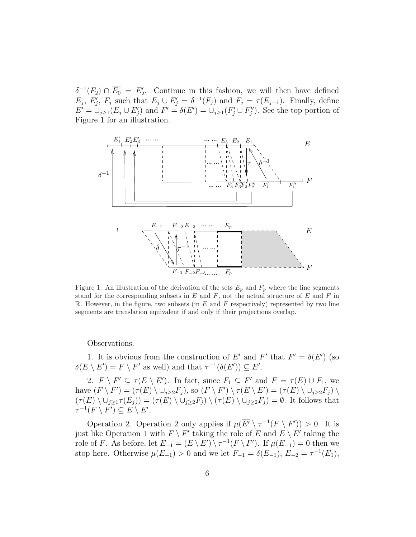$\delta^{-1}(F_2) \cap \overline{E_0} = E_2'$ . Continue in this fashion, we will then have defined  $E_j$ ,  $E'_j$ ,  $F_j$  such that  $E_j \cup E'_j = \delta^{-1}(F_j)$  and  $F_j = \tau(E_{j-1})$ . Finally, define  $E' = \bigcup_{j\geq 1} (E_j \cup E'_j)$  and  $F' = \delta(E') = \bigcup_{j\geq 1} (F'_j \cup F''_j)$ . See the top portion of Figure 1 for an illustration.



Figure 1: An illustration of the derivation of the sets  $E_p$  and  $F_p$  where the line segments stand for the corresponding subsets in  $E$  and  $F$ , not the actual structure of  $E$  and  $F$  in R. However, in the figure, two subsets (in  $E$  and  $F$  respectively) represented by two line segments are translation equivalent if and only if their projections overlap.

Observations.

1. It is obvious from the construction of E' and F' that  $F' = \delta(E')$  (so  $\delta(E \setminus E') = F \setminus F'$  as well) and that  $\tau^{-1}(\delta(E')) \subseteq E'$ .

2.  $F \setminus F' \subseteq \tau(E \setminus E')$ . In fact, since  $F_1 \subseteq F'$  and  $F = \tau(E) \cup F_1$ , we have  $(F \setminus F') = (\tau(E) \setminus \cup_{j \geq 2} F_j)$ , so  $(F \setminus F') \setminus \tau(E \setminus E') = (\tau(E) \setminus \cup_{j \geq 2} F_j) \setminus$  $(\tau(E) \setminus \cup_{j\geq 1} \tau(E_j)) = (\tau(E) \setminus \cup_{j\geq 2} F_j) \setminus (\tau(E) \setminus \cup_{j\geq 2} F_j) = \emptyset$ . It follows that  $\tau^{-1}(F \setminus F') \subseteq E \setminus E'.$ 

Operation 2. Operation 2 only applies if  $\mu(\overline{E'} \setminus \tau^{-1}(F \setminus F')) > 0$ . It is just like Operation 1 with  $F \setminus F'$  taking the role of E and  $E \setminus E'$  taking the role of F. As before, let  $E_{-1} = (E \setminus E') \setminus \tau^{-1}(F \setminus F')$ . If  $\mu(E_{-1}) = 0$  then we stop here. Otherwise  $\mu(E_{-1}) > 0$  and we let  $F_{-1} = \delta(E_{-1}), E_{-2} = \tau^{-1}(E_1),$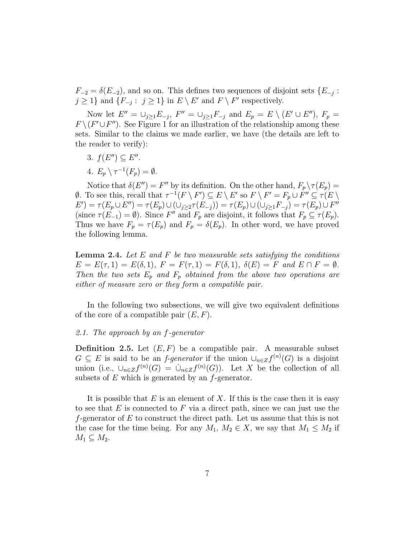$F_{-2} = \delta(E_{-2})$ , and so on. This defines two sequences of disjoint sets  $\{E_{-j}$ :  $j \geq 1$ } and  $\{F_{-j} : j \geq 1\}$  in  $E \setminus E'$  and  $F \setminus F'$  respectively.

Now let  $E'' = \bigcup_{j\geq 1} E_{-j}$ ,  $F'' = \bigcup_{j\geq 1} F_{-j}$  and  $E_p = E \setminus (E' \cup E'')$ ,  $F_p =$  $F \setminus (F' \cup F'')$ . See Figure 1 for an illustration of the relationship among these sets. Similar to the claims we made earlier, we have (the details are left to the reader to verify):

- 3.  $f(E'') \subseteq E''$ .
- 4.  $E_p \setminus \tau^{-1}(F_p) = \emptyset$ .

Notice that  $\delta(E'') = F''$  by its definition. On the other hand,  $F_p \setminus \tau(E_p) =$  $\emptyset$ . To see this, recall that  $\tau^{-1}(F \setminus F') \subseteq E \setminus E'$  so  $F \setminus F' = F_p \cup F'' \subseteq \tau(E \setminus F')$  $(E') = \tau(E_p \cup E'') = \tau(E_p) \cup (\cup_{j \geq 2} \tau(E_{-j})) = \tau(E_p) \cup (\cup_{j \geq 1} F_{-j}) = \tau(E_p) \cup F''$ (since  $\tau(E_{-1}) = \emptyset$ ). Since F'' and  $F_p$  are disjoint, it follows that  $F_p \subseteq \tau(E_p)$ . Thus we have  $F_p = \tau(E_p)$  and  $F_p = \delta(E_p)$ . In other word, we have proved the following lemma.

**Lemma 2.4.** Let  $E$  and  $F$  be two measurable sets satisfying the conditions  $E = E(\tau, 1) = E(\delta, 1), F = F(\tau, 1) = F(\delta, 1), \ \delta(E) = F \text{ and } E \cap F = \emptyset.$ Then the two sets  $E_p$  and  $F_p$  obtained from the above two operations are either of measure zero or they form a compatible pair.

In the following two subsections, we will give two equivalent definitions of the core of a compatible pair  $(E, F)$ .

#### 2.1. The approach by an f-generator

**Definition 2.5.** Let  $(E, F)$  be a compatible pair. A measurable subset  $G \subseteq E$  is said to be an *f-generator* if the union  $\cup_{n \in \mathbb{Z}} f^{(n)}(G)$  is a disjoint union (i.e.,  $\cup_{n\in\mathbb{Z}}f^{(n)}(G) = \cup_{n\in\mathbb{Z}}f^{(n)}(G)$ ). Let X be the collection of all subsets of  $E$  which is generated by an  $f$ -generator.

It is possible that  $E$  is an element of  $X$ . If this is the case then it is easy to see that  $E$  is connected to  $F$  via a direct path, since we can just use the f-generator of  $E$  to construct the direct path. Let us assume that this is not the case for the time being. For any  $M_1, M_2 \in X$ , we say that  $M_1 \leq M_2$  if  $M_1 \subseteq M_2$ .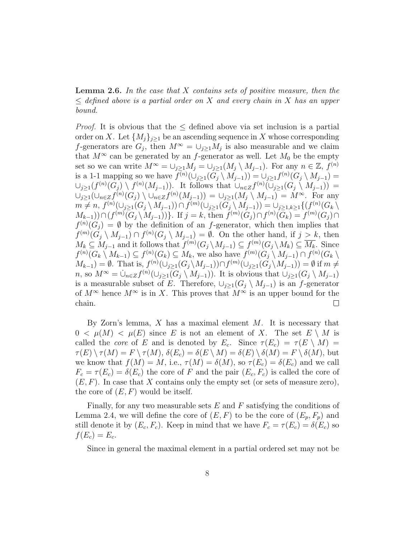**Lemma 2.6.** In the case that X contains sets of positive measure, then the  $\leq$  defined above is a partial order on X and every chain in X has an upper bound.

*Proof.* It is obvious that the  $\leq$  defined above via set inclusion is a partial order on X. Let  $\{M_i\}_{i\geq 1}$  be an ascending sequence in X whose corresponding f-generators are  $G_j$ , then  $M^{\infty} = \bigcup_{j\geq 1} M_j$  is also measurable and we claim that  $M^{\infty}$  can be generated by an f-generator as well. Let  $M_0$  be the empty set so we can write  $M^{\infty} = \bigcup_{j\geq 1} M_j = \bigcup_{j\geq 1} (M_j \setminus M_{j-1})$ . For any  $n \in \mathbb{Z}$ ,  $f^{(n)}$ is a 1-1 mapping so we have  $f^{(n)}(\cup_{j\geq 1}(G_j\setminus M_{j-1}))=\cup_{j\geq 1}f^{(n)}(G_j\setminus M_{j-1})=$  $\cup_{j\geq 1}(f^{(n)}(G_j)\setminus f^{(n)}(M_{j-1}))$ . It follows that  $\cup_{n\in\mathbb{Z}}f^{(n)}(\cup_{j\geq 1}(G_j\setminus M_{j-1}))$  =  $\bigcup_{j\geq 1}(\bigcup_{n\in\mathbb{Z}}f^{(n)}(G_j)\setminus\bigcup_{n\in\mathbb{Z}}f^{(n)}(M_{j-1}))=\bigcup_{j\geq 1}(M_j\setminus M_{j-1})=M^{\infty}$ . For any  $m \neq n$ ,  $f^{(n)}(\cup_{j\geq 1}(G_j \setminus M_{j-1})) \cap f^{(m)}(\cup_{j\geq 1}(G_j \setminus M_{j-1})) = \cup_{j\geq 1, k\geq 1} \{ (f^{(n)}(G_k \setminus M_{j-1})) \cap f^{(m)}(\cup_{j\geq 1}(G_j \setminus M_{j-1})) \}$  $(M_{k-1})) \cap (f^{(m)}(G_j \setminus M_{j-1}))\}.$  If  $j = k$ , then  $f^{(m)}(G_j) \cap f^{(n)}(G_k) = f^{(m)}(G_j) \cap$  $f^{(n)}(G_j) = \emptyset$  by the definition of an f-generator, which then implies that  $f^{(m)}(G_j \setminus M_{j-1}) \cap f^{(n)}(G_j \setminus M_{j-1}) = \emptyset$ . On the other hand, if  $j > k$ , then  $M_k \subseteq M_{j-1}$  and it follows that  $f^{(m)}(G_j \setminus M_{j-1}) \subseteq f^{(m)}(G_j \setminus M_k) \subseteq \overline{M_k}$ . Since  $f^{(n)}(G_k \setminus M_{k-1}) \subseteq f^{(n)}(G_k) \subseteq M_k$ , we also have  $f^{(m)}(G_j \setminus M_{j-1}) \cap f^{(n)}(G_k \setminus M_{j-1})$  $M_{k-1}$ ) =  $\emptyset$ . That is,  $f^{(n)}(\cup_{j\geq 1}(G_j\backslash M_{j-1}))\cap f^{(m)}(\cup_{j\geq 1}(G_j\backslash M_{j-1}))=\emptyset$  if  $m\neq$ n, so  $M^{\infty} = \bigcup_{n \in \mathbb{Z}} f^{(n)}(\bigcup_{j \geq 1} (G_j \setminus M_{j-1}))$ . It is obvious that  $\bigcup_{j \geq 1} (G_j \setminus M_{j-1})$ is a measurable subset of E. Therefore,  $\cup_{i\geq 1}(G_i \setminus M_{i-1})$  is an f-generator of  $M^{\infty}$  hence  $M^{\infty}$  is in X. This proves that  $M^{\infty}$  is an upper bound for the chain.  $\Box$ 

By Zorn's lemma,  $X$  has a maximal element  $M$ . It is necessary that  $0 < \mu(M) < \mu(E)$  since E is not an element of X. The set  $E \setminus M$  is called the *core* of E and is denoted by  $E_c$ . Since  $\tau(E_c) = \tau(E \setminus M)$  $\tau(E) \setminus \tau(M) = F \setminus \tau(M), \, \delta(E_c) = \delta(E \setminus M) = \delta(E) \setminus \delta(M) = F \setminus \delta(M),$  but we know that  $f(M) = M$ , i.e.,  $\tau(M) = \delta(M)$ , so  $\tau(E_c) = \delta(E_c)$  and we call  $F_c = \tau(E_c) = \delta(E_c)$  the core of F and the pair  $(E_c, F_c)$  is called the core of  $(E, F)$ . In case that X contains only the empty set (or sets of measure zero), the core of  $(E, F)$  would be itself.

Finally, for any two measurable sets  $E$  and  $F$  satisfying the conditions of Lemma 2.4, we will define the core of  $(E, F)$  to be the core of  $(E_p, F_p)$  and still denote it by  $(E_c, F_c)$ . Keep in mind that we have  $F_c = \tau(E_c) = \delta(E_c)$  so  $f(E_c) = E_c$ .

Since in general the maximal element in a partial ordered set may not be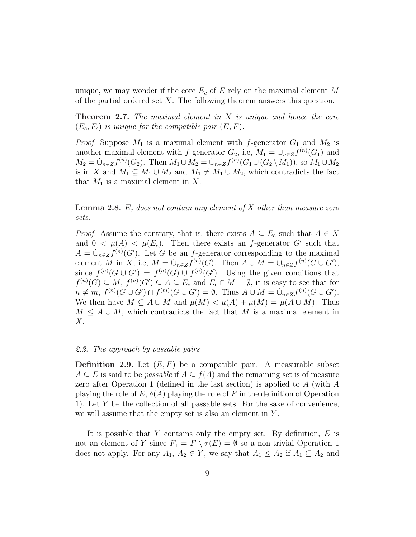unique, we may wonder if the core  $E_c$  of E rely on the maximal element M of the partial ordered set  $X$ . The following theorem answers this question.

**Theorem 2.7.** The maximal element in  $X$  is unique and hence the core  $(E_c, F_c)$  is unique for the compatible pair  $(E, F)$ .

*Proof.* Suppose  $M_1$  is a maximal element with f-generator  $G_1$  and  $M_2$  is another maximal element with f-generator  $G_2$ , i.e,  $M_1 = \dot{\cup}_{n \in \mathbb{Z}} f^{(n)}(G_1)$  and  $M_2 = \dot{\cup}_{n \in \mathbb{Z}} f^{(n)}(G_2)$ . Then  $M_1 \cup M_2 = \dot{\cup}_{n \in \mathbb{Z}} f^{(n)}(G_1 \cup (G_2 \setminus M_1))$ , so  $M_1 \cup M_2$ is in X and  $M_1 \subseteq M_1 \cup M_2$  and  $M_1 \neq M_1 \cup M_2$ , which contradicts the fact that  $M_1$  is a maximal element in X.  $\Box$ 

**Lemma 2.8.**  $E_c$  does not contain any element of X other than measure zero sets.

*Proof.* Assume the contrary, that is, there exists  $A \subseteq E_c$  such that  $A \in X$ and  $0 < \mu(A) < \mu(E_c)$ . Then there exists an f-generator G' such that  $A = \dot{\cup}_{n \in \mathbb{Z}} f^{(n)}(G')$ . Let G be an f-generator corresponding to the maximal element M in X, i.e,  $M = \dot{\cup}_{n \in \mathbb{Z}} f^{(n)}(G)$ . Then  $A \cup M = \cup_{n \in \mathbb{Z}} f^{(n)}(G \cup G')$ , since  $f^{(n)}(G \cup G') = f^{(n)}(G) \cup f^{(n)}(G')$ . Using the given conditions that  $f^{(n)}(G) \subseteq M$ ,  $f^{(n)}(G') \subseteq A \subseteq E_c$  and  $E_c \cap M = \emptyset$ , it is easy to see that for  $n \neq m, f^{(n)}(G \cup G') \cap f^{(m)}(G \cup G') = \emptyset$ . Thus  $A \cup M = \dot{\cup}_{n \in \mathbb{Z}} f^{(n)}(G \cup G')$ . We then have  $M \subseteq A \cup M$  and  $\mu(M) < \mu(A) + \mu(M) = \mu(A \cup M)$ . Thus  $M \leq A \cup M$ , which contradicts the fact that M is a maximal element in  $X$ .  $\Box$ 

#### 2.2. The approach by passable pairs

**Definition 2.9.** Let  $(E, F)$  be a compatible pair. A measurable subset  $A \subseteq E$  is said to be *passable* if  $A \subseteq f(A)$  and the remaining set is of measure zero after Operation 1 (defined in the last section) is applied to A (with A playing the role of E,  $\delta(A)$  playing the role of F in the definition of Operation 1). Let Y be the collection of all passable sets. For the sake of convenience, we will assume that the empty set is also an element in Y .

It is possible that Y contains only the empty set. By definition,  $E$  is not an element of Y since  $F_1 = F \setminus \tau(E) = \emptyset$  so a non-trivial Operation 1 does not apply. For any  $A_1, A_2 \in Y$ , we say that  $A_1 \leq A_2$  if  $A_1 \subseteq A_2$  and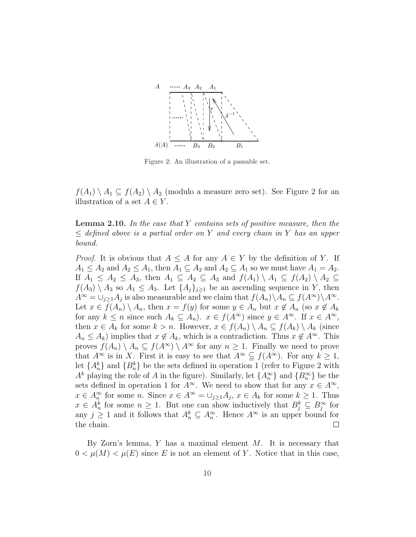

Figure 2: An illustration of a passable set.

 $f(A_1) \setminus A_1 \subseteq f(A_2) \setminus A_2$  (modulo a measure zero set). See Figure 2 for an illustration of a set  $A \in Y$ .

**Lemma 2.10.** In the case that Y contains sets of positive measure, then the  $\leq$  defined above is a partial order on Y and every chain in Y has an upper bound.

*Proof.* It is obvious that  $A \leq A$  for any  $A \in Y$  by the definition of Y. If  $A_1 \leq A_2$  and  $A_2 \leq A_1$ , then  $A_1 \subseteq A_2$  and  $A_2 \subseteq A_1$  so we must have  $A_1 = A_2$ . If  $A_1 \leq A_2 \leq A_3$ , then  $A_1 \subseteq A_2 \subseteq A_3$  and  $f(A_1) \setminus A_1 \subseteq f(A_2) \setminus A_2 \subseteq$  $f(A_3) \setminus A_3$  so  $A_1 \leq A_3$ . Let  $\{A_j\}_{j\geq 1}$  be an ascending sequence in Y, then  $A^{\infty} = \bigcup_{j\geq 1} A_j$  is also measurable and we claim that  $f(A_n) \setminus A_n \subseteq f(A^{\infty}) \setminus A^{\infty}$ . Let  $x \in f(A_n) \setminus A_n$ , then  $x = f(y)$  for some  $y \in A_n$  but  $x \notin A_n$  (so  $x \notin A_k$ ) for any  $k \leq n$  since such  $A_k \subseteq A_n$ ).  $x \in f(A^{\infty})$  since  $y \in A^{\infty}$ . If  $x \in A^{\infty}$ , then  $x \in A_k$  for some  $k > n$ . However,  $x \in f(A_n) \setminus A_n \subseteq f(A_k) \setminus A_k$  (since  $A_n \leq A_k$ ) implies that  $x \notin A_k$ , which is a contradiction. Thus  $x \notin A^{\infty}$ . This proves  $f(A_n) \setminus A_n \subseteq f(A^{\infty}) \setminus A^{\infty}$  for any  $n \geq 1$ . Finally we need to prove that  $A^{\infty}$  is in X. First it is easy to see that  $A^{\infty} \subseteq f(A^{\infty})$ . For any  $k \geq 1$ , let  ${A_n^k}$  and  ${B_n^k}$  be the sets defined in operation 1 (refer to Figure 2 with  $A<sup>k</sup>$  playing the role of A in the figure). Similarly, let  $\{A_n^{\infty}\}\$  and  $\{B_n^{\infty}\}\$  be the sets defined in operation 1 for  $A^{\infty}$ . We need to show that for any  $x \in A^{\infty}$ ,  $x \in A_n^{\infty}$  for some n. Since  $x \in A^{\infty} = \bigcup_{j\geq 1} A_j$ ,  $x \in A_k$  for some  $k \geq 1$ . Thus  $x \in A_n^k$  for some  $n \geq 1$ . But one can show inductively that  $B_j^k \subseteq B_j^{\infty}$  for any  $j \geq 1$  and it follows that  $A_n^k \subseteq A_n^{\infty}$ . Hence  $A^{\infty}$  is an upper bound for the chain.  $\Box$ 

By Zorn's lemma,  $Y$  has a maximal element  $M$ . It is necessary that  $0 < \mu(M) < \mu(E)$  since E is not an element of Y. Notice that in this case,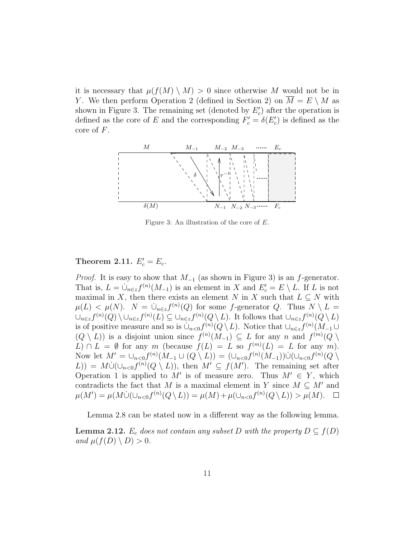it is necessary that  $\mu(f(M) \setminus M) > 0$  since otherwise M would not be in Y. We then perform Operation 2 (defined in Section 2) on  $\overline{M} = E \setminus M$  as shown in Figure 3. The remaining set (denoted by  $E'_{c}$ ) after the operation is defined as the core of E and the corresponding  $F'_{c} = \delta(E'_{c})$  is defined as the core of  $F$ .



Figure 3: An illustration of the core of E.

# Theorem 2.11.  $E_c' = E_c$ .

*Proof.* It is easy to show that  $M_{-1}$  (as shown in Figure 3) is an f-generator. That is,  $L = \dot{\cup}_{n \in \mathbb{Z}} f^{(n)}(M_{-1})$  is an element in X and  $E'_c = E \setminus L$ . If L is not maximal in X, then there exists an element N in X such that  $L \subseteq N$  with  $\mu(L) < \mu(N)$ .  $N = \dot{\cup}_{n \in \mathcal{Z}} f^{(n)}(Q)$  for some f-generator Q. Thus  $N \setminus L =$  $\cup_{n\in\mathcal{Z}}f^{(n)}(Q)\setminus\cup_{n\in\mathcal{Z}}f^{(n)}(L)\subseteq\cup_{n\in\mathcal{Z}}f^{(n)}(Q\setminus L)$ . It follows that  $\cup_{n\in\mathcal{Z}}f^{(n)}(Q\setminus L)$ is of positive measure and so is  $\dot{\cup}_{n<0} f^{(n)}(Q \setminus L)$ . Notice that  $\cup_{n \in \mathcal{Z}} f^{(n)}(M_{-1} \cup$  $(Q \setminus L)$  is a disjoint union since  $f^{(n)}(M_{-1}) \subseteq L$  for any n and  $f^{(m)}(Q \setminus L)$  $L \cap L = \emptyset$  for any m (because  $f(L) = L$  so  $f^{(m)}(L) = L$  for any m). Now let  $M' = \bigcup_{n < 0} f^{(n)}(M_{-1} \cup (Q \setminus L)) = (\bigcup_{n < 0} f^{(n)}(M_{-1})) \dot{\cup} (\bigcup_{n < 0} f^{(n)}(Q \setminus L))$  $(L)$ ) =  $M\dot{\cup}(\cup_{n<0}f^{(n)}(Q\setminus L))$ , then  $M'\subseteq f(M')$ . The remaining set after Operation 1 is applied to M' is of measure zero. Thus  $M' \in Y$ , which contradicts the fact that M is a maximal element in Y since  $M \subseteq M'$  and  $\mu(M') = \mu(M\dot{\cup}(\cup_{n<0}f^{(n)}(Q\setminus L)) = \mu(M) + \mu(\cup_{n<0}f^{(n)}(Q\setminus L)) > \mu(M).$ 

Lemma 2.8 can be stated now in a different way as the following lemma. **Lemma 2.12.**  $E_c$  does not contain any subset D with the property  $D \subseteq f(D)$ and  $\mu(f(D) \setminus D) > 0$ .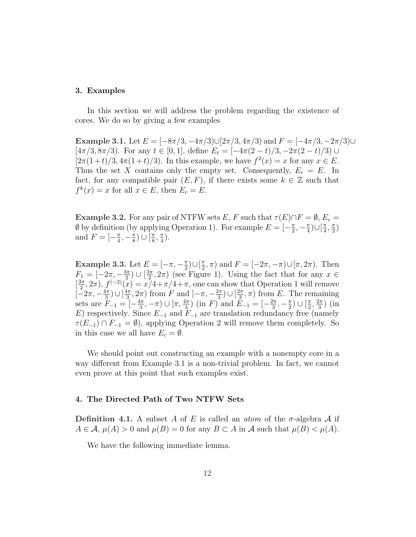#### 3. Examples

In this section we will address the problem regarding the existence of cores. We do so by giving a few examples

Example 3.1. Let  $E = [-8\pi/3, -4\pi/3] \cup [2\pi/3, 4\pi/3]$  and  $F = [-4\pi/3, -2\pi/3] \cup$ [ $4\pi/3, 8\pi/3$ ). For any  $t \in [0, 1]$ , define  $E_t = [-4\pi(2-t)/3, -2\pi(2-t)/3] \cup$  $[2\pi(1+t)/3, 4\pi(1+t)/3]$ . In this example, we have  $f^2(x) = x$  for any  $x \in E$ . Thus the set X contains only the empty set. Consequently,  $E_c = E$ . In fact, for any compatible pair  $(E, F)$ , if there exists some  $k \in \mathbb{Z}$  such that  $f^k(x) = x$  for all  $x \in E$ , then  $E_c = E$ .

**Example 3.2.** For any pair of NTFW sets E, F such that  $\tau(E) \cap F = \emptyset$ , E<sub>c</sub> =  $\emptyset$  by definition (by applying Operation 1). For example  $E = \left[-\frac{\pi}{2}\right]$  $\frac{\pi}{2}, -\frac{\pi}{4}$  $\frac{\pi}{4}$ )∪ $\frac{\pi}{4}$  $\frac{\pi}{4}, \frac{\pi}{2}$  $\frac{\pi}{2}$ and  $F = \left[-\frac{\pi}{4}\right]$  $\frac{\pi}{4}, -\frac{\pi}{8}$  $\frac{\pi}{8}$ ) ∪  $\left[\frac{\pi}{8}\right]$  $\frac{\pi}{8}$ ,  $\frac{\pi}{4}$  $\frac{\pi}{4}$ .

Example 3.3. Let  $E = [-\pi, -\frac{\pi}{2}]$  $\frac{\pi}{2}$ )∪ $\left[\frac{\pi}{2}\right]$  $(\frac{\pi}{2}, \pi)$  and  $F = [-2\pi, -\pi) \cup [\pi, 2\pi)$ . Then  $F_1 = \left[-2\pi, -\frac{3\pi}{2}\right]$  $\frac{3\pi}{2}) \cup \left[\frac{3\pi}{2}\right]$  $(\frac{2\pi}{2}, 2\pi)$  (see Figure 1). Using the fact that for any  $x \in$  $\left[\frac{3\pi}{2}\right]$  $(\frac{2\pi}{2}, 2\pi), f^{(-2)}(\overline{x}) = x\overline{7} + \pi/4 + \pi$ , one can show that Operation 1 will remove  $\left[-2\pi, -\frac{4\pi}{3}\right]$  $\frac{4\pi}{3})\cup\left[\frac{4\pi}{3}\right]$  $\frac{4\pi}{3}, 2\pi$ ) from F and  $\left[-\pi, -\frac{2\pi}{3}\right]$  $\left(\frac{2\pi}{3}\right)$   $\cup$   $\left[\frac{2\pi}{3}\right]$  $(\frac{2\pi}{3}, \pi)$  from E. The remaining sets are  $F_{-1} = \frac{5}{1} - \frac{4\pi}{3}$  $(\frac{4\pi}{3}, -\pi) \cup [\pi, \frac{4\pi}{3})$  (in F) and  $\tilde{E}_{-1} = [-\frac{2\pi}{3}]$  $\frac{2\pi}{3}, -\frac{\pi}{2}$  $\frac{\pi}{2}$ )  $\bigcup$   $\left[\frac{\pi}{2}\right]$  $\frac{\pi}{2}, \frac{2\pi}{3}$  $\frac{2\pi}{3}$ ) (in E) respectively. Since  $E_{-1}$  and  $F_{-1}$  are translation redundancy free (namely  $\tau(E_{-1}) \cap F_{-1} = \emptyset$ , applying Operation 2 will remove them completely. So in this case we all have  $E_c = \emptyset$ .

We should point out constructing an example with a nonempty core in a way different from Example 3.1 is a non-trivial problem. In fact, we cannot even prove at this point that such examples exist.

#### 4. The Directed Path of Two NTFW Sets

Definition 4.1. A subset A of E is called an *atom* of the  $\sigma$ -algebra A if  $A \in \mathcal{A}, \mu(A) > 0$  and  $\mu(B) = 0$  for any  $B \subset A$  in  $\mathcal A$  such that  $\mu(B) < \mu(A)$ .

We have the following immediate lemma.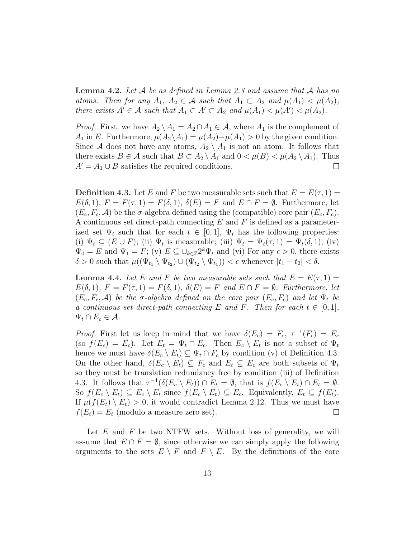**Lemma 4.2.** Let  $\mathcal A$  be as defined in Lemma 2.3 and assume that  $\mathcal A$  has no atoms. Then for any  $A_1, A_2 \in \mathcal{A}$  such that  $A_1 \subset A_2$  and  $\mu(A_1) < \mu(A_2)$ , there exists  $A' \in \mathcal{A}$  such that  $A_1 \subset A' \subset A_2$  and  $\mu(A_1) < \mu(A') < \mu(A_2)$ .

*Proof.* First, we have  $A_2 \setminus A_1 = A_2 \cap \overline{A_1} \in \mathcal{A}$ , where  $\overline{A_1}$  is the complement of  $A_1$  in E. Furthermore,  $\mu(A_2 \backslash A_1) = \mu(A_2) - \mu(A_1) > 0$  by the given condition. Since A does not have any atoms,  $A_2 \setminus A_1$  is not an atom. It follows that there exists  $B \in \mathcal{A}$  such that  $B \subset A_2 \setminus A_1$  and  $0 < \mu(B) < \mu(A_2 \setminus A_1)$ . Thus  $A' = A_1 \cup B$  satisfies the required conditions.  $\Box$ 

**Definition 4.3.** Let E and F be two measurable sets such that  $E = E(\tau, 1)$  $E(\delta, 1), F = F(\tau, 1) = F(\delta, 1), \ \delta(E) = F$  and  $E \cap F = \emptyset$ . Furthermore, let  $(E_c, F_c, \mathcal{A})$  be the  $\sigma$ -algebra defined using the (compatible) core pair  $(E_c, F_c)$ . A continuous set direct-path connecting  $E$  and  $F$  is defined as a parameterized set  $\Psi_t$  such that for each  $t \in [0,1]$ ,  $\Psi_t$  has the following properties: (i)  $\Psi_t \subseteq (E \cup F)$ ; (ii)  $\Psi_t$  is measurable; (iii)  $\Psi_t = \Psi_t(\tau, 1) = \Psi_t(\delta, 1)$ ; (iv)  $\Psi_0 = E$  and  $\Psi_1 = F$ ; (v)  $E \subseteq \bigcup_{k \in \mathbb{Z}} 2^k \Psi_t$  and (vi) For any  $\epsilon > 0$ , there exists  $\delta > 0$  such that  $\mu((\Psi_{t_1} \setminus \Psi_{t_2}) \cup (\Psi_{t_2} \setminus \Psi_{t_1})) < \epsilon$  whenever  $|t_1 - t_2| < \delta$ .

**Lemma 4.4.** Let E and F be two measurable sets such that  $E = E(\tau, 1)$  $E(\delta, 1), F = F(\tau, 1) = F(\delta, 1), \ \delta(E) = F$  and  $E \cap F = \emptyset$ . Furthermore, let  $(E_c, F_c, \mathcal{A})$  be the  $\sigma$ -algebra defined on the core pair  $(E_c, F_c)$  and let  $\Psi_t$  be a continuous set direct-path connecting E and F. Then for each  $t \in [0,1]$ ,  $\Psi_t \cap E_c \in \mathcal{A}$ .

*Proof.* First let us keep in mind that we have  $\delta(E_c) = F_c$ ,  $\tau^{-1}(F_c) = E_c$ (so  $f(E_c) = E_c$ ). Let  $E_t = \Psi_t \cap E_c$ . Then  $E_c \setminus E_t$  is not a subset of  $\Psi_t$ hence we must have  $\delta(E_c \setminus E_t) \subseteq \Psi_t \cap F_c$  by condition (v) of Definition 4.3. On the other hand,  $\delta(E_c \setminus E_t) \subseteq F_c$  and  $E_t \subseteq E_c$  are both subsets of  $\Psi_t$ so they must be translation redundancy free by condition (iii) of Definition 4.3. It follows that  $\tau^{-1}(\delta(E_c \setminus E_t)) \cap E_t = \emptyset$ , that is  $f(E_c \setminus E_t) \cap E_t = \emptyset$ . So  $f(E_c \setminus E_t) \subseteq E_c \setminus E_t$  since  $f(E_c \setminus E_t) \subseteq E_c$ . Equivalently,  $E_t \subseteq f(E_t)$ . If  $\mu(f(E_t) \setminus E_t) > 0$ , it would contradict Lemma 2.12. Thus we must have  $f(E_t) = E_t$  (modulo a measure zero set).  $\Box$ 

Let  $E$  and  $F$  be two NTFW sets. Without loss of generality, we will assume that  $E \cap F = \emptyset$ , since otherwise we can simply apply the following arguments to the sets  $E \setminus F$  and  $F \setminus E$ . By the definitions of the core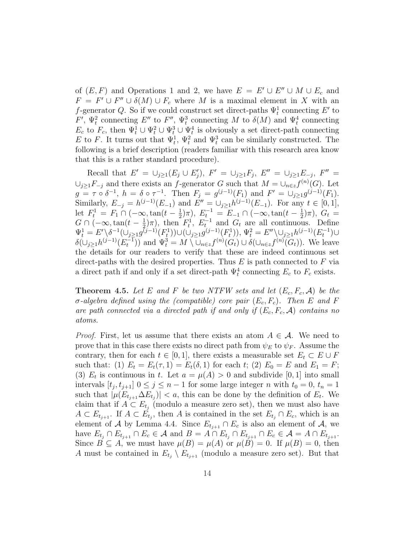of  $(E, F)$  and Operations 1 and 2, we have  $E = E' \cup E'' \cup M \cup E_c$  and  $F = F' \cup F'' \cup \delta(M) \cup F_c$  where M is a maximal element in X with an f-generator Q. So if we could construct set direct-paths  $\Psi_t^1$  connecting E' to F',  $\Psi_t^2$  connecting E'' to F'',  $\Psi_t^3$  connecting M to  $\delta(M)$  and  $\Psi_t^4$  connecting  $E_c$  to  $F_c$ , then  $\Psi_t^1 \cup \Psi_t^2 \cup \Psi_t^3 \cup \Psi_t^4$  is obviously a set direct-path connecting E to F. It turns out that  $\Psi_t^1$ ,  $\Psi_t^2$  and  $\Psi_t^3$  can be similarly constructed. The following is a brief description (readers familiar with this research area know that this is a rather standard procedure).

Recall that  $E' = \bigcup_{j \geq 1} (E_j \cup E'_j), F' = \bigcup_{j \geq 1} F_j, E'' = \bigcup_{j \geq 1} E_{-j}, F'' =$  $\cup_{j\geq 1} F_{-j}$  and there exists an f-generator G such that  $M = \cup_{n\in\mathbb{Z}} f^{(n)}(G)$ . Let  $g = \tau \circ \delta^{-1}$ ,  $h = \delta \circ \tau^{-1}$ . Then  $F_j = g^{(j-1)}(F_1)$  and  $F' = \bigcup_{j \ge 1} g^{(j-1)}(F_1)$ . Similarly,  $E_{-j} = h^{(j-1)}(E_{-1})$  and  $E'' = \bigcup_{j\geq 1} h^{(j-1)}(E_{-1})$ . For any  $t \in [0,1]$ , let  $F_t^1 = F_1 \cap (-\infty, \tan(t - \frac{1}{2}))$  $(\frac{1}{2})\pi$ ),  $E_t^{-1} = E_{-1} \cap (-\infty, \tan(t - \frac{1}{2}))$  $(\frac{1}{2})\pi$ ,  $G_t =$  $G \cap (-\infty, \tan(t - \frac{1}{2}))$  $(\frac{1}{2})\pi$ , then  $F_t^1$ ,  $E_t^{-1}$  and  $G_t$  are all continuous. Define  $\Psi_t^1 = E' \setminus \delta^{-1}(\cup_{j \geq 1} g^{(j-1)}(F_t^1)) \cup (\cup_{j \geq 1} g^{(j-1)}(F_t^1)), \Psi_t^2 = E'' \setminus \cup_{j \geq 1} h^{(j-1)}(E_t^{-1}) \cup$  $\delta(\cup_{j\geq 1} h^{(j-1)}(E_t^{-1}))$  and  $\Psi_t^3 = M \setminus \overline{\cup}_{n\in \mathcal{Z}} f^{(n)}(G_t) \cup \delta(\cup_{n\in \mathcal{Z}} f^{(n)}(G_t)).$  We leave the details for our readers to verify that these are indeed continuous set direct-paths with the desired properties. Thus  $E$  is path connected to  $F$  via a direct path if and only if a set direct-path  $\Psi_t^4$  connecting  $E_c$  to  $F_c$  exists.

**Theorem 4.5.** Let E and F be two NTFW sets and let  $(E_c, F_c, A)$  be the σ-algebra defined using the (compatible) core pair  $(E_c, F_c)$ . Then E and F are path connected via a directed path if and only if  $(E_c, F_c, A)$  contains no atoms.

*Proof.* First, let us assume that there exists an atom  $A \in \mathcal{A}$ . We need to prove that in this case there exists no direct path from  $\psi_E$  to  $\psi_F$ . Assume the contrary, then for each  $t \in [0,1]$ , there exists a measurable set  $E_t \subset E \cup F$ such that: (1)  $E_t = E_t(\tau, 1) = E_t(\delta, 1)$  for each t; (2)  $E_0 = E$  and  $E_1 = F$ ; (3)  $E_t$  is continuous in t. Let  $a = \mu(A) > 0$  and subdivide [0, 1] into small intervals  $[t_j, t_{j+1}]$   $0 \le j \le n-1$  for some large integer n with  $t_0 = 0, t_n = 1$ such that  $|\mu(E_{t_{j+1}}\Delta E_{t_j})| < a$ , this can be done by the definition of  $E_t$ . We claim that if  $A \subset E_{t_j}$  (modulo a measure zero set), then we must also have  $A \subset E_{t_{j+1}}$ . If  $A \subset E_{t_j}$ , then A is contained in the set  $E_{t_j} \cap E_c$ , which is an element of A by Lemma 4.4. Since  $E_{t_{j+1}} \cap E_c$  is also an element of A, we have  $E_{t_j} \cap E_{t_{j+1}} \cap E_c \in \mathcal{A}$  and  $B = A \cap E_{t_j} \cap E_{t_{j+1}} \cap E_c \in \mathcal{A} = A \cap E_{t_{j+1}}$ . Since  $B \subseteq A$ , we must have  $\mu(B) = \mu(A)$  or  $\mu(B) = 0$ . If  $\mu(B) = 0$ , then A must be contained in  $E_{t_j} \setminus E_{t_{j+1}}$  (modulo a measure zero set). But that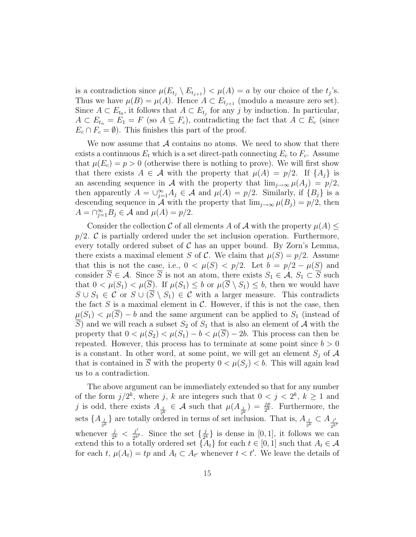is a contradiction since  $\mu(E_{t_j} \setminus E_{t_{j+1}}) < \mu(A) = a$  by our choice of the  $t_j$ 's. Thus we have  $\mu(B) = \mu(A)$ . Hence  $A \subset E_{t_{i+1}}$  (modulo a measure zero set). Since  $A \subset E_{t_0}$ , it follows that  $A \subset E_{t_j}$  for any j by induction. In particular,  $A \subset E_{t_n} = E_1 = F$  (so  $A \subseteq F_c$ ), contradicting the fact that  $A \subset E_c$  (since  $E_c \cap F_c = \emptyset$ . This finishes this part of the proof.

We now assume that  $A$  contains no atoms. We need to show that there exists a continuous  $E_t$  which is a set direct-path connecting  $E_c$  to  $F_c$ . Assume that  $\mu(E_c) = p > 0$  (otherwise there is nothing to prove). We will first show that there exists  $A \in \mathcal{A}$  with the property that  $\mu(A) = p/2$ . If  $\{A_i\}$  is an ascending sequence in A with the property that  $\lim_{i\to\infty} \mu(A_i) = p/2$ , then apparently  $A = \bigcup_{j=1}^{\infty} A_j \in \mathcal{A}$  and  $\mu(A) = p/2$ . Similarly, if  $\{B_j\}$  is a descending sequence in A with the property that  $\lim_{j\to\infty} \mu(B_j) = p/2$ , then  $A = \bigcap_{j=1}^{\infty} B_j \in \mathcal{A}$  and  $\mu(A) = p/2$ .

Consider the collection C of all elements A of A with the property  $\mu(A) \leq$  $p/2$ . C is partially ordered under the set inclusion operation. Furthermore, every totally ordered subset of  $C$  has an upper bound. By Zorn's Lemma, there exists a maximal element S of C. We claim that  $\mu(S) = p/2$ . Assume that this is not the case, i.e.,  $0 < \mu(S) < p/2$ . Let  $b = p/2 - \mu(S)$  and consider  $\overline{S} \in \mathcal{A}$ . Since  $\overline{S}$  is not an atom, there exists  $S_1 \in \mathcal{A}$ ,  $S_1 \subset \overline{S}$  such that  $0 < \mu(S_1) < \mu(\overline{S})$ . If  $\mu(S_1) \leq b$  or  $\mu(\overline{S} \setminus S_1) \leq b$ , then we would have  $S \cup S_1 \in \mathcal{C}$  or  $S \cup (\overline{S} \setminus S_1) \in \mathcal{C}$  with a larger measure. This contradicts the fact  $S$  is a maximal element in  $C$ . However, if this is not the case, then  $\mu(S_1) < \mu(\overline{S}) - b$  and the same argument can be applied to  $S_1$  (instead of  $\overline{S}$ ) and we will reach a subset  $S_2$  of  $S_1$  that is also an element of A with the property that  $0 < \mu(S_2) < \mu(S_1) - b < \mu(\overline{S}) - 2b$ . This process can then be repeated. However, this process has to terminate at some point since  $b > 0$ is a constant. In other word, at some point, we will get an element  $S_i$  of  $A$ that is contained in  $\overline{S}$  with the property  $0 < \mu(S_j) < b$ . This will again lead us to a contradiction.

The above argument can be immediately extended so that for any number of the form  $j/2^k$ , where j, k are integers such that  $0 < j < 2^k$ ,  $k \ge 1$  and j is odd, there exists  $A_{\frac{j}{2^k}} \in \mathcal{A}$  such that  $\mu(A_{\frac{j}{2^k}}) = \frac{jp}{2^k}$ . Furthermore, the sets  $\{A_{\frac{j}{2^k}}\}$  are totally ordered in terms of set inclusion. That is,  $A_{\frac{j}{2^k}} \subset A_{\frac{j'}{2^k}}$ whenever  $\frac{j}{2^k} < \frac{j'}{2^k}$  $\frac{j'}{2^{k'}}$ . Since the set  $\{\frac{j}{2^i}\}$  $\frac{j}{2^k}$  is dense in [0, 1], it follows we can extend this to a totally ordered set  $\{A_t\}$  for each  $t \in [0,1]$  such that  $A_t \in \mathcal{A}$ for each t,  $\mu(A_t) = tp$  and  $A_t \subset A_{t'}$  whenever  $t < t'$ . We leave the details of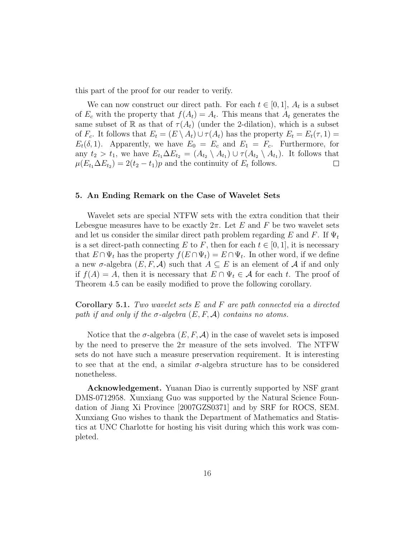this part of the proof for our reader to verify.

We can now construct our direct path. For each  $t \in [0,1]$ ,  $A_t$  is a subset of  $E_c$  with the property that  $f(A_t) = A_t$ . This means that  $A_t$  generates the same subset of R as that of  $\tau(A_t)$  (under the 2-dilation), which is a subset of  $F_c$ . It follows that  $E_t = (E \setminus A_t) \cup \tau(A_t)$  has the property  $E_t = E_t(\tau, 1)$  $E_t(\delta, 1)$ . Apparently, we have  $E_0 = E_c$  and  $E_1 = F_c$ . Furthermore, for any  $t_2 > t_1$ , we have  $E_{t_1} \Delta E_{t_2} = (A_{t_2} \setminus A_{t_1}) \cup \tau(A_{t_2} \setminus A_{t_1})$ . It follows that  $\mu(E_{t_1} \Delta E_{t_2}) = 2(t_2 - t_1)p$  and the continuity of  $E_t$  follows.  $\Box$ 

#### 5. An Ending Remark on the Case of Wavelet Sets

Wavelet sets are special NTFW sets with the extra condition that their Lebesgue measures have to be exactly  $2\pi$ . Let E and F be two wavelet sets and let us consider the similar direct path problem regarding E and F. If  $\Psi_t$ is a set direct-path connecting E to F, then for each  $t \in [0, 1]$ , it is necessary that  $E \cap \Psi_t$  has the property  $f(E \cap \Psi_t) = E \cap \Psi_t$ . In other word, if we define a new  $\sigma$ -algebra  $(E, F, A)$  such that  $A \subseteq E$  is an element of A if and only if  $f(A) = A$ , then it is necessary that  $E \cap \Psi_t \in A$  for each t. The proof of Theorem 4.5 can be easily modified to prove the following corollary.

**Corollary 5.1.** Two wavelet sets  $E$  and  $F$  are path connected via a directed path if and only if the  $\sigma$ -algebra  $(E, F, A)$  contains no atoms.

Notice that the  $\sigma$ -algebra  $(E, F, A)$  in the case of wavelet sets is imposed by the need to preserve the  $2\pi$  measure of the sets involved. The NTFW sets do not have such a measure preservation requirement. It is interesting to see that at the end, a similar  $\sigma$ -algebra structure has to be considered nonetheless.

Acknowledgement. Yuanan Diao is currently supported by NSF grant DMS-0712958. Xunxiang Guo was supported by the Natural Science Foundation of Jiang Xi Province [2007GZS0371] and by SRF for ROCS, SEM. Xunxiang Guo wishes to thank the Department of Mathematics and Statistics at UNC Charlotte for hosting his visit during which this work was completed.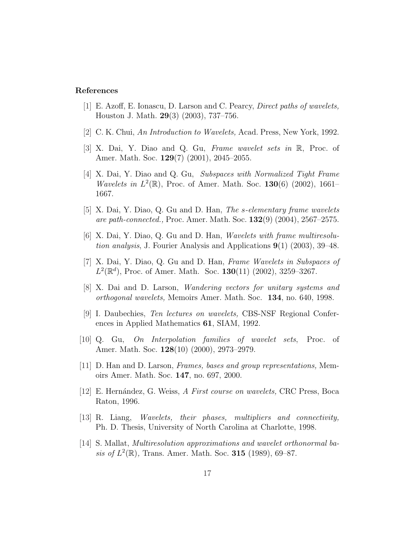#### References

- [1] E. Azoff, E. Ionascu, D. Larson and C. Pearcy, Direct paths of wavelets, Houston J. Math. 29(3) (2003), 737–756.
- [2] C. K. Chui, An Introduction to Wavelets, Acad. Press, New York, 1992.
- [3] X. Dai, Y. Diao and Q. Gu, Frame wavelet sets in R, Proc. of Amer. Math. Soc. 129(7) (2001), 2045–2055.
- [4] X. Dai, Y. Diao and Q. Gu, Subspaces with Normalized Tight Frame *Wavelets in*  $L^2(\mathbb{R})$ , Proc. of Amer. Math. Soc. 130(6) (2002), 1661– 1667.
- [5] X. Dai, Y. Diao, Q. Gu and D. Han, The s-elementary frame wavelets are path-connected., Proc. Amer. Math. Soc.  $132(9)$   $(2004)$ ,  $2567-2575$ .
- [6] X. Dai, Y. Diao, Q. Gu and D. Han, Wavelets with frame multiresolution analysis, J. Fourier Analysis and Applications  $9(1)$  (2003), 39–48.
- [7] X. Dai, Y. Diao, Q. Gu and D. Han, Frame Wavelets in Subspaces of  $L^2(\mathbb{R}^d)$ , Proc. of Amer. Math. Soc. 130(11) (2002), 3259-3267.
- [8] X. Dai and D. Larson, Wandering vectors for unitary systems and orthogonal wavelets, Memoirs Amer. Math. Soc. 134, no. 640, 1998.
- [9] I. Daubechies, Ten lectures on wavelets, CBS-NSF Regional Conferences in Applied Mathematics 61, SIAM, 1992.
- [10] Q. Gu, On Interpolation families of wavelet sets, Proc. of Amer. Math. Soc. 128(10) (2000), 2973–2979.
- [11] D. Han and D. Larson, Frames, bases and group representations, Memoirs Amer. Math. Soc. 147, no. 697, 2000.
- [12] E. Hernández, G. Weiss, A First course on wavelets, CRC Press, Boca Raton, 1996.
- [13] R. Liang, Wavelets, their phases, multipliers and connectivity, Ph. D. Thesis, University of North Carolina at Charlotte, 1998.
- [14] S. Mallat, Multiresolution approximations and wavelet orthonormal basis of  $L^2(\mathbb{R})$ , Trans. Amer. Math. Soc. 315 (1989), 69–87.